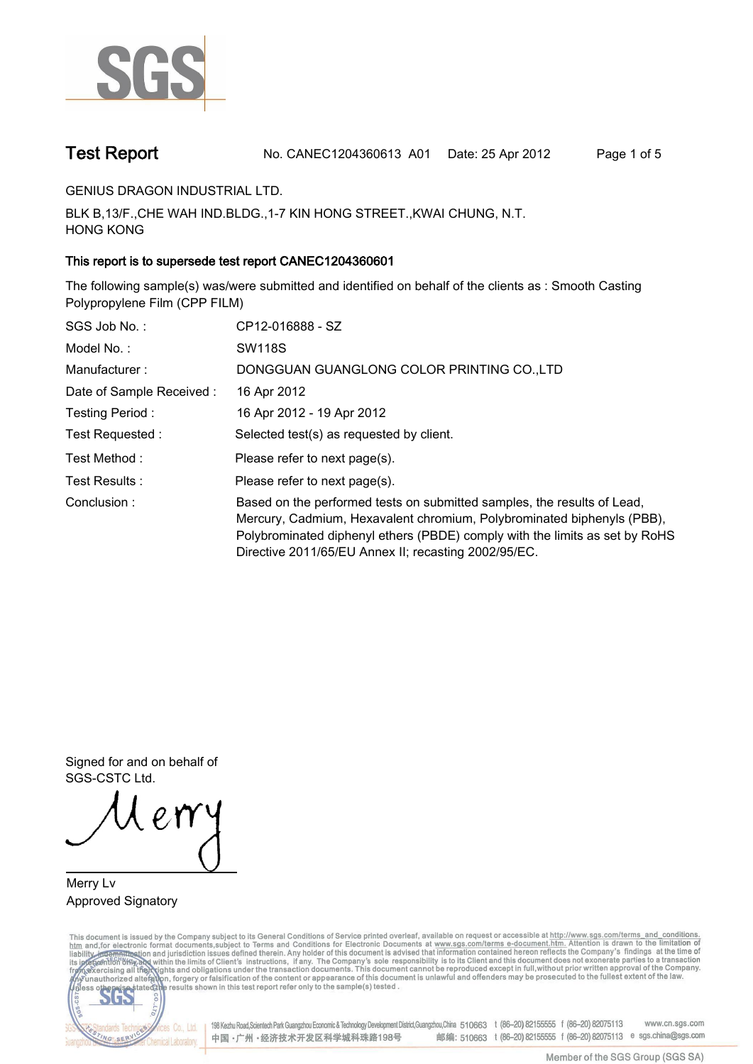

**Test Report. No. CANEC1204360613 A01 Date: 25 Apr 2012. Page 1 of 5.**

**GENIUS DRAGON INDUSTRIAL LTD..**

**BLK B,13/F.,CHE WAH IND.BLDG.,1-7 KIN HONG STREET.,KWAI CHUNG, N.T. HONG KONG.**

# **This report is to supersede test report CANEC1204360601.**

**The following sample(s) was/were submitted and identified on behalf of the clients as : Smooth Casting Polypropylene Film (CPP FILM).**

| SGS Job No.:              | CP12-016888 - SZ                                                                                                                                                                                                                                                                         |
|---------------------------|------------------------------------------------------------------------------------------------------------------------------------------------------------------------------------------------------------------------------------------------------------------------------------------|
| Model No.:                | <b>SW118S</b>                                                                                                                                                                                                                                                                            |
| Manufacturer:             | DONGGUAN GUANGLONG COLOR PRINTING CO.,LTD                                                                                                                                                                                                                                                |
| Date of Sample Received : | 16 Apr 2012                                                                                                                                                                                                                                                                              |
| Testing Period:           | 16 Apr 2012 - 19 Apr 2012                                                                                                                                                                                                                                                                |
| Test Requested :          | Selected test(s) as requested by client.                                                                                                                                                                                                                                                 |
| Test Method :             | Please refer to next page(s).                                                                                                                                                                                                                                                            |
| Test Results :            | Please refer to next page(s).                                                                                                                                                                                                                                                            |
| Conclusion:               | Based on the performed tests on submitted samples, the results of Lead,<br>Mercury, Cadmium, Hexavalent chromium, Polybrominated biphenyls (PBB),<br>Polybrominated diphenyl ethers (PBDE) comply with the limits as set by RoHS<br>Directive 2011/65/EU Annex II; recasting 2002/95/EC. |

**Signed for and on behalf of SGS-CSTC Ltd..**

**Merry Lv. Approved Signatory.**

This document is issued by the Company subject to its General Conditions of Service printed overleaf, available on request or accessible at http://www.sgs.com/terms\_and\_conditions.<br>htm\_and,for electronic format documents,s



198 Kezhu Road,Scientech Park Guangzhou Economic & Technology Development District,Guangzhou,China 510663 t (86-20) 82155555 f (86-20) 82075113 www.cn.sgs.com 邮编: 510663 t (86-20) 82155555 f (86-20) 82075113 e sgs.china@sgs.com 中国·广州·经济技术开发区科学城科珠路198号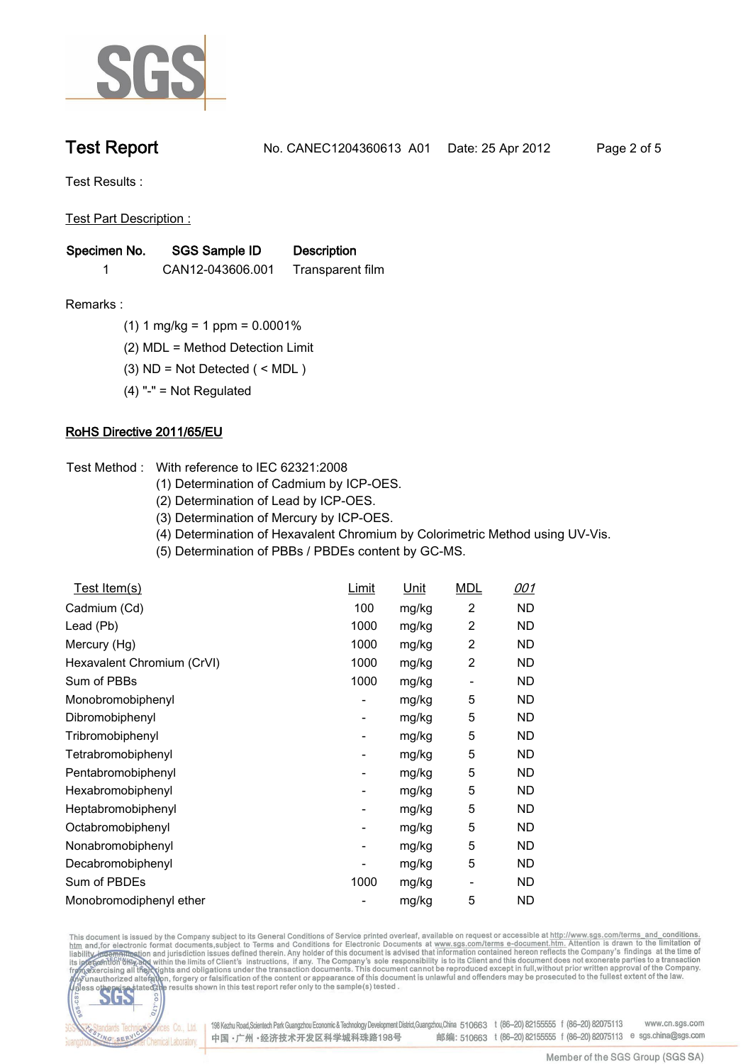

**Test Report. No. CANEC1204360613 A01 Date: 25 Apr 2012. Page 2 of 5.**

**Test Results :.**

**Test Part Description :.**

| Specimen No. | SGS Sample ID    | <b>Description</b> |  |
|--------------|------------------|--------------------|--|
|              | CAN12-043606.001 | Transparent film   |  |

- **Remarks :.(1) 1 mg/kg = 1 ppm = 0.0001%.**
	- **(2) MDL = Method Detection Limit.**
	- **(3) ND = Not Detected ( < MDL ).**
	- **(4) "-" = Not Regulated.**

## **RoHS Directive 2011/65/EU.**

- **Test Method :. With reference to IEC 62321:2008**
	- **(1) Determination of Cadmium by ICP-OES.**
	- **(2) Determination of Lead by ICP-OES.**
	- **(3) Determination of Mercury by ICP-OES.**
	- **(4) Determination of Hexavalent Chromium by Colorimetric Method using UV-Vis.**
	- **(5) Determination of PBBs / PBDEs content by GC-MS..**

| <u>Test Item(s)</u>        | <u>Limit</u>             | <u>Unit</u> | <b>MDL</b> | <u>001</u> |
|----------------------------|--------------------------|-------------|------------|------------|
| Cadmium (Cd)               | 100                      | mg/kg       | 2          | ND.        |
| Lead (Pb)                  | 1000                     | mg/kg       | 2          | ND         |
| Mercury (Hg)               | 1000                     | mg/kg       | 2          | ND         |
| Hexavalent Chromium (CrVI) | 1000                     | mg/kg       | 2          | ND         |
| Sum of PBBs                | 1000                     | mg/kg       |            | <b>ND</b>  |
| Monobromobiphenyl          | $\overline{\phantom{a}}$ | mg/kg       | 5          | ND         |
| Dibromobiphenyl            | -                        | mg/kg       | 5          | ND.        |
| Tribromobiphenyl           | -                        | mg/kg       | 5          | ND.        |
| Tetrabromobiphenyl         | $\overline{\phantom{a}}$ | mg/kg       | 5          | ND.        |
| Pentabromobiphenyl         | $\overline{\phantom{a}}$ | mg/kg       | 5          | ND         |
| Hexabromobiphenyl          | ۰                        | mg/kg       | 5          | ND         |
| Heptabromobiphenyl         | ۰                        | mg/kg       | 5          | ND         |
| Octabromobiphenyl          | ۰                        | mg/kg       | 5          | ND         |
| Nonabromobiphenyl          | $\overline{\phantom{a}}$ | mg/kg       | 5          | ND         |
| Decabromobiphenyl          |                          | mg/kg       | 5          | ND         |
| Sum of PBDEs               | 1000                     | mg/kg       | -          | ND         |
| Monobromodiphenyl ether    |                          | mg/kg       | 5          | <b>ND</b>  |

This document is issued by the Company subject to its General Conditions of Service printed overleaf, available on request or accessible at http://www.sgs.com/terms\_and\_conditions.<br>htm\_and,for electronic format documents,s



198 Kezhu Road,Scientech Park Guangzhou Economic & Technology Development District,Guangzhou,China 510663 t (86-20) 82155555 f (86-20) 82075113 www.cn.sgs.com 邮编: 510663 t (86-20) 82155555 f (86-20) 82075113 e sgs.china@sgs.com 中国·广州·经济技术开发区科学城科珠路198号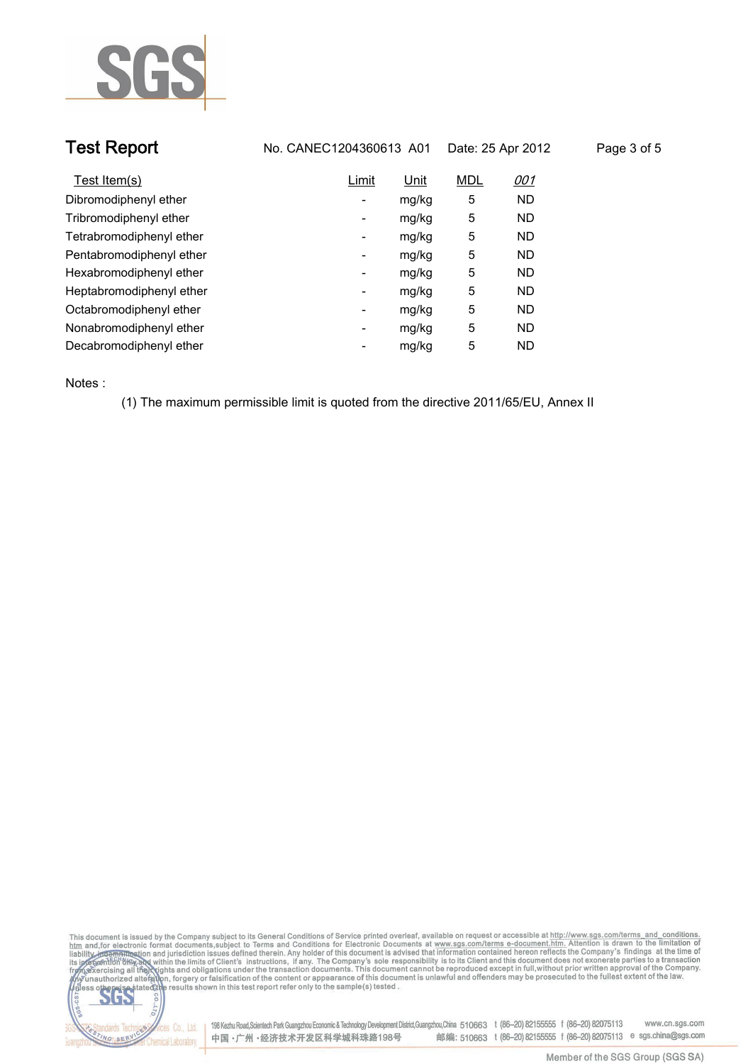

| <b>Test Report</b><br>No. CANEC1204360613 A01 |                          |       | Date: 25 Apr 2012 |            | Page 3 of 5 |  |
|-----------------------------------------------|--------------------------|-------|-------------------|------------|-------------|--|
| Test Item(s)                                  | Limit                    | Unit  | <b>MDL</b>        | <u>001</u> |             |  |
| Dibromodiphenyl ether                         | Ξ.                       | mg/kg | 5                 | <b>ND</b>  |             |  |
| Tribromodiphenyl ether                        | -                        | mg/kg | 5                 | <b>ND</b>  |             |  |
| Tetrabromodiphenyl ether                      | ۰                        | mg/kg | 5                 | <b>ND</b>  |             |  |
| Pentabromodiphenyl ether                      | Ξ.                       | mg/kg | 5                 | <b>ND</b>  |             |  |
| Hexabromodiphenyl ether                       | -                        | mg/kg | 5                 | <b>ND</b>  |             |  |
| Heptabromodiphenyl ether                      | $\overline{\phantom{a}}$ | mg/kg | 5                 | <b>ND</b>  |             |  |
| Octabromodiphenyl ether                       | ۰                        | mg/kg | 5                 | ND         |             |  |
| Nonabromodiphenyl ether                       | $\overline{\phantom{a}}$ | mg/kg | 5                 | <b>ND</b>  |             |  |
| Decabromodiphenyl ether                       | -                        | mg/kg | 5                 | <b>ND</b>  |             |  |
|                                               |                          |       |                   |            |             |  |

**Notes :.**

**(1) The maximum permissible limit is quoted from the directive 2011/65/EU, Annex II.**





onces Co., Ltd. | 198 Kezhu Road,Scientech Park Guangzhou Economic & Technology Development District,Guangzhou,China 510663 t (86–20) 82155555 f (86–20) 82075113 www.cn.sgs.com 邮编: 510663 t (86-20) 82155555 f (86-20) 82075113 e sgs.china@sgs.com 中国·广州·经济技术开发区科学城科珠路198号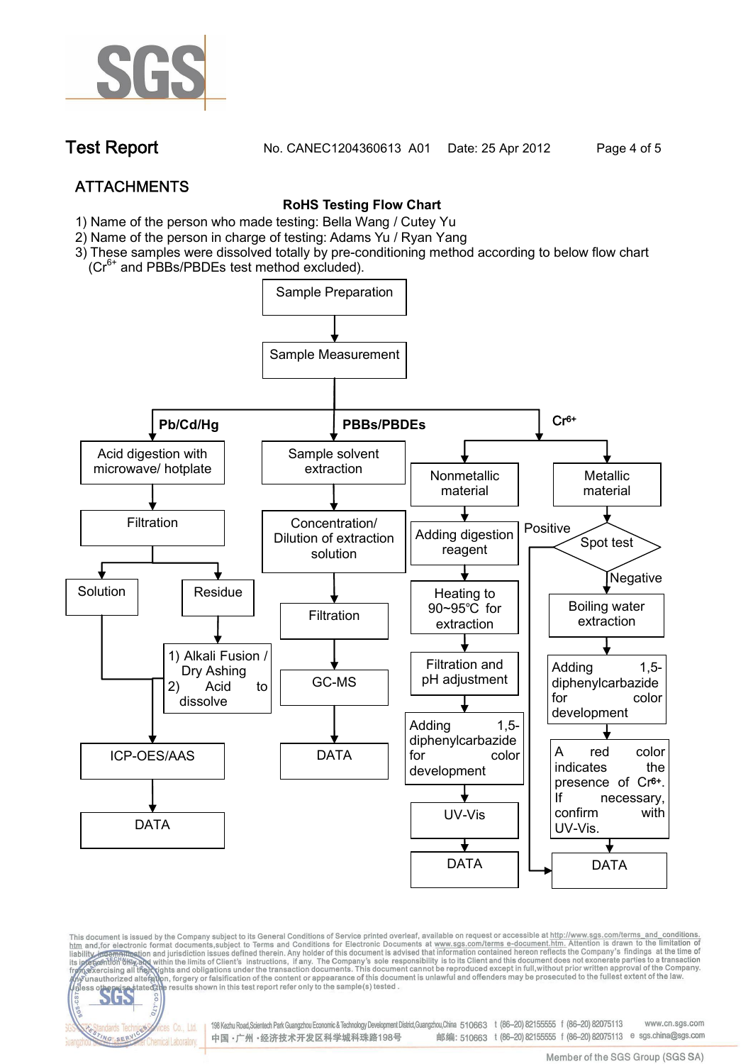

**Test Report. No. CANEC1204360613 A01 Date: 25 Apr 2012. Page 4 of 5.**

# **ATTACHMENTS**

# **RoHS Testing Flow Chart**

- **1)** Name of the person who made testing: Bella Wang / **Cutey Yu**
- 2) Name of the person in charge of testing: Adams Yu / **Ryan Yang**
- 3) These samples were dissolved totally by pre-conditioning method according to below flow chart
	- (Cr6+ and PBBs/PBDEs test method excluded).

fices Co., Ltd.

NG SER



This document is issued by the Company subject to its General Conditions of Service printed overleaf, available on request or accessible at http://www.sgs.com/terms\_and\_conditions.<br>htm\_and,for electronic format documents,s

198 Kezhu Road,Scientech Park Guangzhou Economic & Technology Development District,Guangzhou,China 510663 t (86-20) 82155555 f (86-20) 82075113 www.cn.sas.com 邮编: 510663 t (86-20) 82155555 f (86-20) 82075113 e sgs.china@sgs.com 中国·广州·经济技术开发区科学城科珠路198号